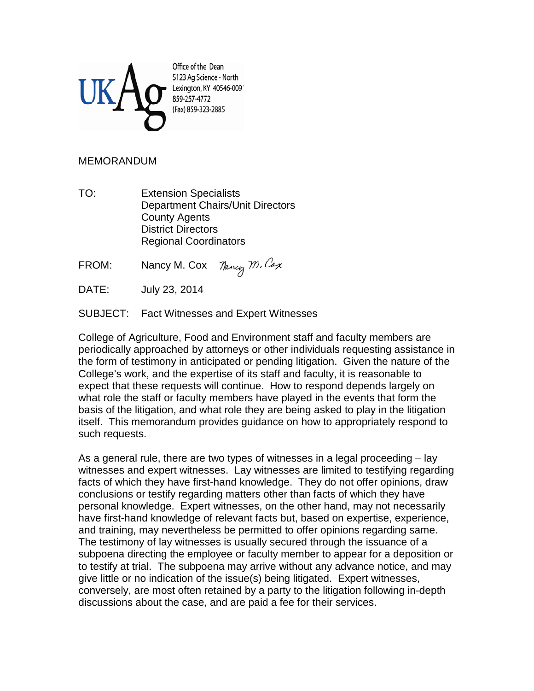

Office of the Dean S123 Ag Science - North Lexington, KY 40546-0091 859-257-4772 (Fax) 859-323-2885

## MEMORANDUM

TO: Extension Specialists Department Chairs/Unit Directors County Agents District Directors Regional Coordinators

Nancy M. Cox FROM: Nancy M. Cox

DATE: July 23, 2014

SUBJECT: Fact Witnesses and Expert Witnesses

College of Agriculture, Food and Environment staff and faculty members are periodically approached by attorneys or other individuals requesting assistance in the form of testimony in anticipated or pending litigation. Given the nature of the College's work, and the expertise of its staff and faculty, it is reasonable to expect that these requests will continue. How to respond depends largely on what role the staff or faculty members have played in the events that form the basis of the litigation, and what role they are being asked to play in the litigation itself. This memorandum provides guidance on how to appropriately respond to such requests.

As a general rule, there are two types of witnesses in a legal proceeding – lay witnesses and expert witnesses. Lay witnesses are limited to testifying regarding facts of which they have first-hand knowledge. They do not offer opinions, draw conclusions or testify regarding matters other than facts of which they have personal knowledge. Expert witnesses, on the other hand, may not necessarily have first-hand knowledge of relevant facts but, based on expertise, experience, and training, may nevertheless be permitted to offer opinions regarding same. The testimony of lay witnesses is usually secured through the issuance of a subpoena directing the employee or faculty member to appear for a deposition or to testify at trial. The subpoena may arrive without any advance notice, and may give little or no indication of the issue(s) being litigated. Expert witnesses, conversely, are most often retained by a party to the litigation following in-depth discussions about the case, and are paid a fee for their services.